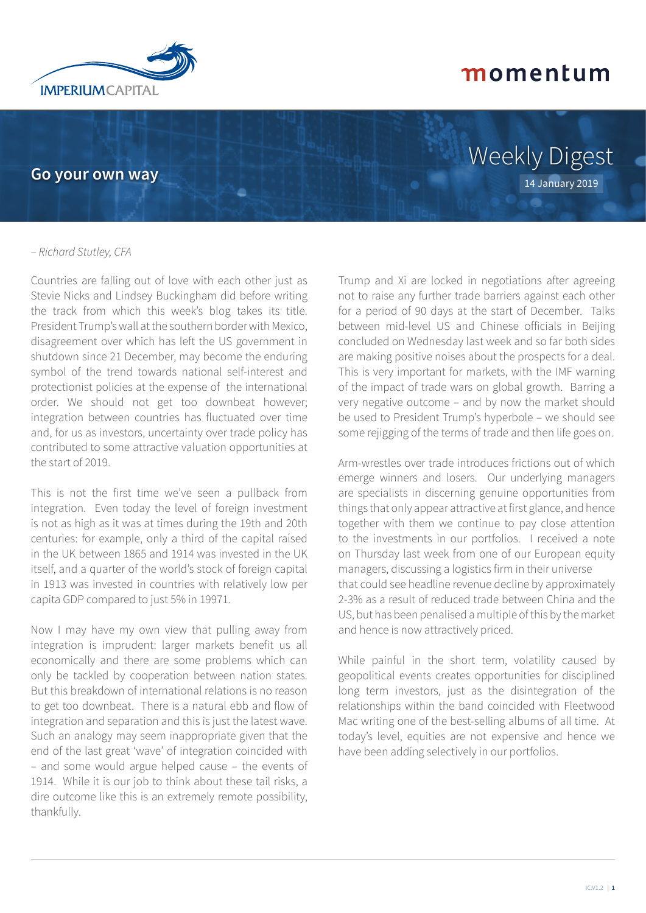

**Go your own way**

# Weekly Digest 14 January 2019

#### – *Richard Stutley, CFA*

Countries are falling out of love with each other just as Stevie Nicks and Lindsey Buckingham did before writing the track from which this week's blog takes its title. President Trump's wall at the southern border with Mexico, disagreement over which has left the US government in shutdown since 21 December, may become the enduring symbol of the trend towards national self-interest and protectionist policies at the expense of the international order. We should not get too downbeat however; integration between countries has fluctuated over time and, for us as investors, uncertainty over trade policy has contributed to some attractive valuation opportunities at the start of 2019.

This is not the first time we've seen a pullback from integration. Even today the level of foreign investment is not as high as it was at times during the 19th and 20th centuries: for example, only a third of the capital raised in the UK between 1865 and 1914 was invested in the UK itself, and a quarter of the world's stock of foreign capital in 1913 was invested in countries with relatively low per capita GDP compared to just 5% in 19971.

Now I may have my own view that pulling away from integration is imprudent: larger markets benefit us all economically and there are some problems which can only be tackled by cooperation between nation states. But this breakdown of international relations is no reason to get too downbeat. There is a natural ebb and flow of integration and separation and this is just the latest wave. Such an analogy may seem inappropriate given that the end of the last great 'wave' of integration coincided with – and some would argue helped cause – the events of 1914. While it is our job to think about these tail risks, a dire outcome like this is an extremely remote possibility, thankfully.

Trump and Xi are locked in negotiations after agreeing not to raise any further trade barriers against each other for a period of 90 days at the start of December. Talks between mid-level US and Chinese officials in Beijing concluded on Wednesday last week and so far both sides are making positive noises about the prospects for a deal. This is very important for markets, with the IMF warning of the impact of trade wars on global growth. Barring a very negative outcome – and by now the market should be used to President Trump's hyperbole – we should see some rejigging of the terms of trade and then life goes on.

Arm-wrestles over trade introduces frictions out of which emerge winners and losers. Our underlying managers are specialists in discerning genuine opportunities from things that only appear attractive at first glance, and hence together with them we continue to pay close attention to the investments in our portfolios. I received a note on Thursday last week from one of our European equity managers, discussing a logistics firm in their universe that could see headline revenue decline by approximately 2-3% as a result of reduced trade between China and the US, but has been penalised a multiple of this by the market and hence is now attractively priced.

While painful in the short term, volatility caused by geopolitical events creates opportunities for disciplined long term investors, just as the disintegration of the relationships within the band coincided with Fleetwood Mac writing one of the best-selling albums of all time. At today's level, equities are not expensive and hence we have been adding selectively in our portfolios.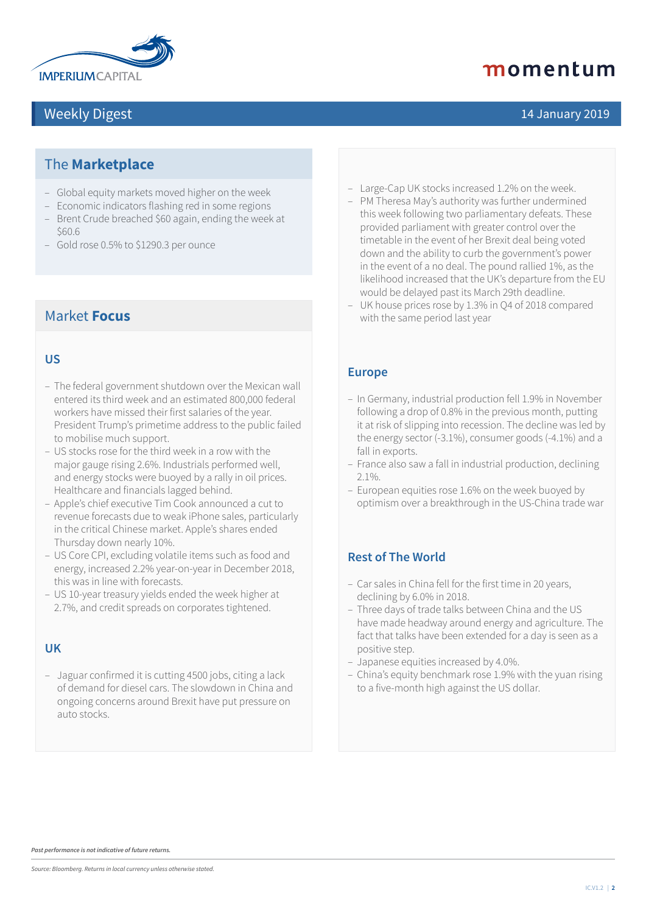

### Weekly Digest 14 January 2019

## momentum

### The **Marketplace**

- Global equity markets moved higher on the week
- Economic indicators flashing red in some regions
- Brent Crude breached \$60 again, ending the week at \$60.6
- Gold rose 0.5% to \$1290.3 per ounce

#### Market **Focus**

#### **US**

- The federal government shutdown over the Mexican wall entered its third week and an estimated 800,000 federal workers have missed their first salaries of the year. President Trump's primetime address to the public failed to mobilise much support.
- US stocks rose for the third week in a row with the major gauge rising 2.6%. Industrials performed well, and energy stocks were buoyed by a rally in oil prices. Healthcare and financials lagged behind.
- Apple's chief executive Tim Cook announced a cut to revenue forecasts due to weak iPhone sales, particularly in the critical Chinese market. Apple's shares ended Thursday down nearly 10%.
- US Core CPI, excluding volatile items such as food and energy, increased 2.2% year-on-year in December 2018, this was in line with forecasts.
- US 10-year treasury yields ended the week higher at 2.7%, and credit spreads on corporates tightened.

#### **UK**

– Jaguar confirmed it is cutting 4500 jobs, citing a lack of demand for diesel cars. The slowdown in China and ongoing concerns around Brexit have put pressure on auto stocks.

- Large-Cap UK stocks increased 1.2% on the week.
- PM Theresa May's authority was further undermined this week following two parliamentary defeats. These provided parliament with greater control over the timetable in the event of her Brexit deal being voted down and the ability to curb the government's power in the event of a no deal. The pound rallied 1%, as the likelihood increased that the UK's departure from the EU would be delayed past its March 29th deadline.
- UK house prices rose by 1.3% in Q4 of 2018 compared with the same period last year

#### **Europe**

- In Germany, industrial production fell 1.9% in November following a drop of 0.8% in the previous month, putting it at risk of slipping into recession. The decline was led by the energy sector (-3.1%), consumer goods (-4.1%) and a fall in exports.
- France also saw a fall in industrial production, declining 2.1%.
- European equities rose 1.6% on the week buoyed by optimism over a breakthrough in the US-China trade war

#### **Rest of The World**

- Car sales in China fell for the first time in 20 years, declining by 6.0% in 2018.
- Three days of trade talks between China and the US have made headway around energy and agriculture. The fact that talks have been extended for a day is seen as a positive step.
- Japanese equities increased by 4.0%.
- China's equity benchmark rose 1.9% with the yuan rising to a five-month high against the US dollar.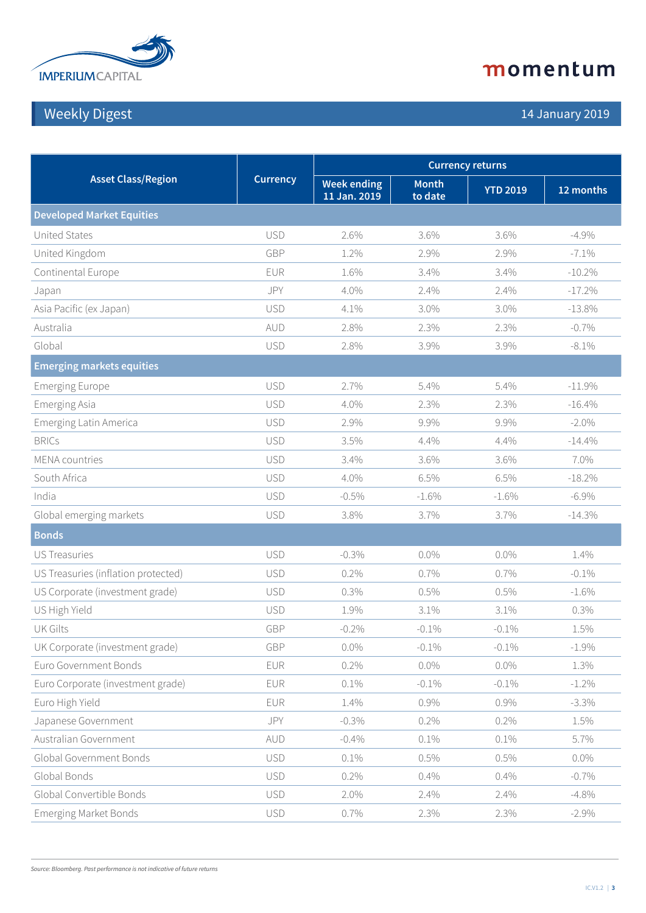

## Weekly Digest 14 January 2019

| <b>Asset Class/Region</b>           | <b>Currency</b> | <b>Currency returns</b>            |                         |                 |           |  |
|-------------------------------------|-----------------|------------------------------------|-------------------------|-----------------|-----------|--|
|                                     |                 | <b>Week ending</b><br>11 Jan. 2019 | <b>Month</b><br>to date | <b>YTD 2019</b> | 12 months |  |
| <b>Developed Market Equities</b>    |                 |                                    |                         |                 |           |  |
| United States                       | <b>USD</b>      | 2.6%                               | 3.6%                    | 3.6%            | $-4.9%$   |  |
| United Kingdom                      | GBP             | 1.2%                               | 2.9%                    | 2.9%            | $-7.1%$   |  |
| Continental Europe                  | <b>EUR</b>      | 1.6%                               | 3.4%                    | 3.4%            | $-10.2%$  |  |
| Japan                               | JPY             | 4.0%                               | 2.4%                    | 2.4%            | $-17.2%$  |  |
| Asia Pacific (ex Japan)             | <b>USD</b>      | 4.1%                               | 3.0%                    | 3.0%            | $-13.8%$  |  |
| Australia                           | AUD             | 2.8%                               | 2.3%                    | 2.3%            | $-0.7%$   |  |
| Global                              | <b>USD</b>      | 2.8%                               | 3.9%                    | 3.9%            | $-8.1\%$  |  |
| <b>Emerging markets equities</b>    |                 |                                    |                         |                 |           |  |
| <b>Emerging Europe</b>              | <b>USD</b>      | 2.7%                               | 5.4%                    | 5.4%            | $-11.9%$  |  |
| Emerging Asia                       | <b>USD</b>      | 4.0%                               | 2.3%                    | 2.3%            | $-16.4%$  |  |
| <b>Emerging Latin America</b>       | <b>USD</b>      | 2.9%                               | 9.9%                    | 9.9%            | $-2.0\%$  |  |
| <b>BRICs</b>                        | <b>USD</b>      | 3.5%                               | 4.4%                    | 4.4%            | $-14.4%$  |  |
| <b>MENA</b> countries               | <b>USD</b>      | 3.4%                               | 3.6%                    | 3.6%            | 7.0%      |  |
| South Africa                        | <b>USD</b>      | 4.0%                               | 6.5%                    | 6.5%            | $-18.2%$  |  |
| India                               | <b>USD</b>      | $-0.5\%$                           | $-1.6%$                 | $-1.6%$         | $-6.9\%$  |  |
| Global emerging markets             | <b>USD</b>      | 3.8%                               | 3.7%                    | 3.7%            | $-14.3\%$ |  |
| <b>Bonds</b>                        |                 |                                    |                         |                 |           |  |
| <b>US Treasuries</b>                | <b>USD</b>      | $-0.3%$                            | $0.0\%$                 | $0.0\%$         | 1.4%      |  |
| US Treasuries (inflation protected) | <b>USD</b>      | 0.2%                               | 0.7%                    | $0.7\%$         | $-0.1\%$  |  |
| US Corporate (investment grade)     | <b>USD</b>      | 0.3%                               | 0.5%                    | 0.5%            | $-1.6%$   |  |
| US High Yield                       | <b>USD</b>      | 1.9%                               | 3.1%                    | 3.1%            | 0.3%      |  |
| <b>UK Gilts</b>                     | GBP             | $-0.2%$                            | $-0.1\%$                | $-0.1\%$        | 1.5%      |  |
| UK Corporate (investment grade)     | GBP             | $0.0\%$                            | $-0.1\%$                | $-0.1\%$        | $-1.9%$   |  |
| Euro Government Bonds               | <b>EUR</b>      | 0.2%                               | $0.0\%$                 | $0.0\%$         | 1.3%      |  |
| Euro Corporate (investment grade)   | EUR             | 0.1%                               | $-0.1\%$                | $-0.1\%$        | $-1.2\%$  |  |
| Euro High Yield                     | EUR             | 1.4%                               | 0.9%                    | 0.9%            | $-3.3%$   |  |
| Japanese Government                 | JPY             | $-0.3%$                            | 0.2%                    | 0.2%            | 1.5%      |  |
| Australian Government               | AUD             | $-0.4%$                            | 0.1%                    | 0.1%            | 5.7%      |  |
| Global Government Bonds             | <b>USD</b>      | 0.1%                               | 0.5%                    | 0.5%            | $0.0\%$   |  |
| Global Bonds                        | <b>USD</b>      | 0.2%                               | 0.4%                    | 0.4%            | $-0.7%$   |  |
| Global Convertible Bonds            | <b>USD</b>      | 2.0%                               | 2.4%                    | 2.4%            | $-4.8%$   |  |
| <b>Emerging Market Bonds</b>        | <b>USD</b>      | 0.7%                               | 2.3%                    | 2.3%            | $-2.9\%$  |  |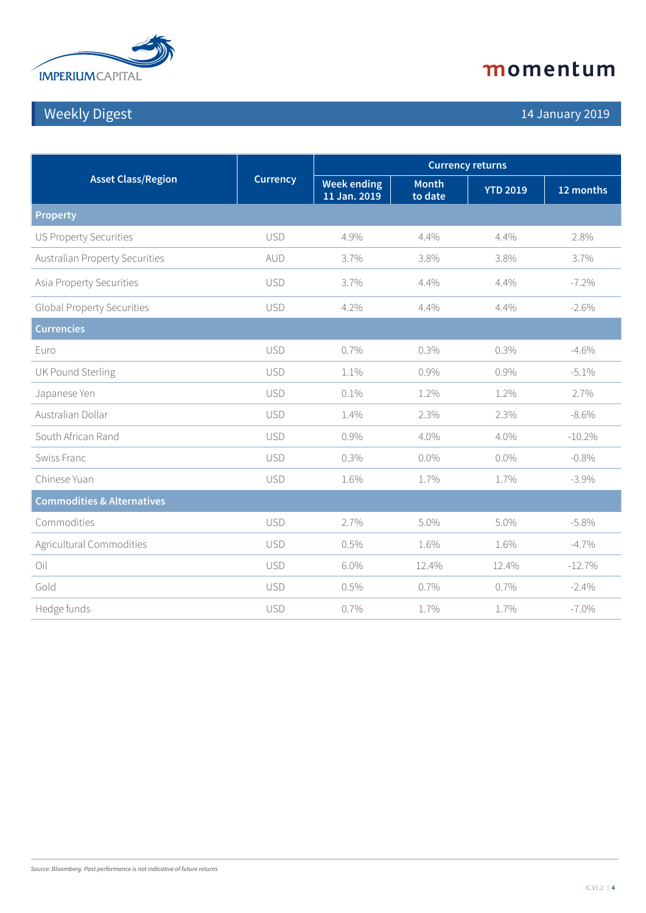

## Weekly Digest 14 January 2019

| <b>Asset Class/Region</b>             | <b>Currency</b> | <b>Currency returns</b>            |                         |                 |           |
|---------------------------------------|-----------------|------------------------------------|-------------------------|-----------------|-----------|
|                                       |                 | <b>Week ending</b><br>11 Jan. 2019 | <b>Month</b><br>to date | <b>YTD 2019</b> | 12 months |
| <b>Property</b>                       |                 |                                    |                         |                 |           |
| <b>US Property Securities</b>         | <b>USD</b>      | 4.9%                               | 4.4%                    | 4.4%            | 2.8%      |
| <b>Australian Property Securities</b> | AUD             | 3.7%                               | 3.8%                    | 3.8%            | 3.7%      |
| Asia Property Securities              | <b>USD</b>      | 3.7%                               | 4.4%                    | 4.4%            | $-7.2%$   |
| <b>Global Property Securities</b>     | <b>USD</b>      | 4.2%                               | 4.4%                    | 4.4%            | $-2.6%$   |
| <b>Currencies</b>                     |                 |                                    |                         |                 |           |
| Euro                                  | <b>USD</b>      | 0.7%                               | 0.3%                    | 0.3%            | $-4.6%$   |
| UK Pound Sterling                     | <b>USD</b>      | 1.1%                               | 0.9%                    | 0.9%            | $-5.1%$   |
| Japanese Yen                          | <b>USD</b>      | 0.1%                               | 1.2%                    | 1.2%            | 2.7%      |
| Australian Dollar                     | <b>USD</b>      | 1.4%                               | 2.3%                    | 2.3%            | $-8.6\%$  |
| South African Rand                    | <b>USD</b>      | 0.9%                               | 4.0%                    | 4.0%            | $-10.2\%$ |
| Swiss Franc                           | <b>USD</b>      | 0.3%                               | $0.0\%$                 | $0.0\%$         | $-0.8%$   |
| Chinese Yuan                          | <b>USD</b>      | 1.6%                               | 1.7%                    | 1.7%            | $-3.9\%$  |
| <b>Commodities &amp; Alternatives</b> |                 |                                    |                         |                 |           |
| Commodities                           | <b>USD</b>      | 2.7%                               | 5.0%                    | 5.0%            | $-5.8\%$  |
| Agricultural Commodities              | <b>USD</b>      | 0.5%                               | 1.6%                    | 1.6%            | $-4.7\%$  |
| Oil                                   | <b>USD</b>      | 6.0%                               | 12.4%                   | 12.4%           | $-12.7%$  |
| Gold                                  | <b>USD</b>      | 0.5%                               | 0.7%                    | 0.7%            | $-2.4%$   |
| Hedge funds                           | <b>USD</b>      | 0.7%                               | 1.7%                    | 1.7%            | $-7.0\%$  |